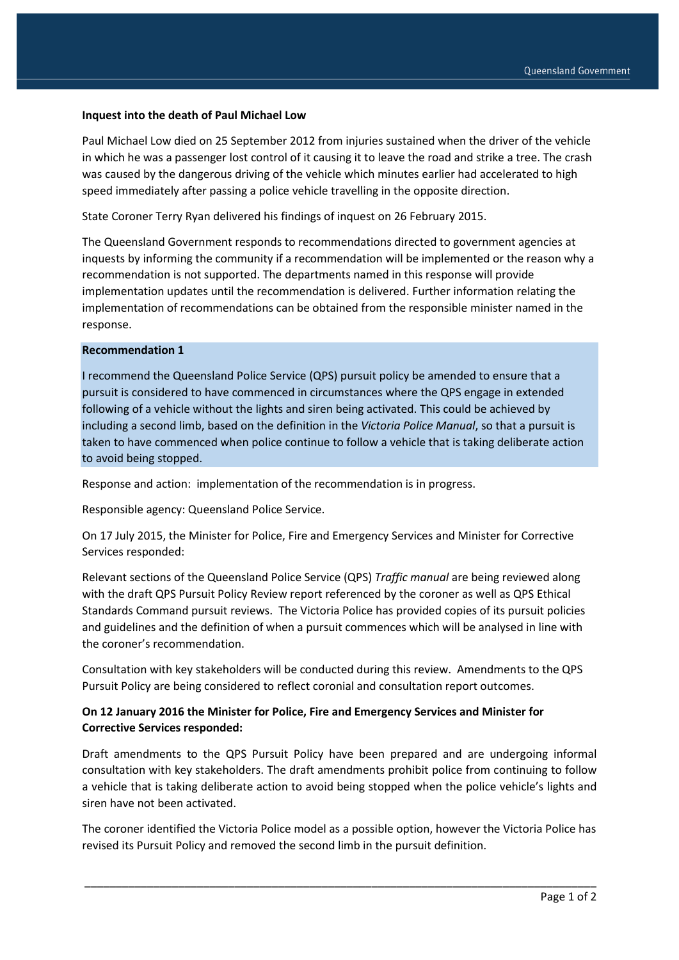### **Inquest into the death of Paul Michael Low**

Paul Michael Low died on 25 September 2012 from injuries sustained when the driver of the vehicle in which he was a passenger lost control of it causing it to leave the road and strike a tree. The crash was caused by the dangerous driving of the vehicle which minutes earlier had accelerated to high speed immediately after passing a police vehicle travelling in the opposite direction.

State Coroner Terry Ryan delivered his findings of inquest on 26 February 2015.

The Queensland Government responds to recommendations directed to government agencies at inquests by informing the community if a recommendation will be implemented or the reason why a recommendation is not supported. The departments named in this response will provide implementation updates until the recommendation is delivered. Further information relating the implementation of recommendations can be obtained from the responsible minister named in the response.

#### **Recommendation 1**

I recommend the Queensland Police Service (QPS) pursuit policy be amended to ensure that a pursuit is considered to have commenced in circumstances where the QPS engage in extended following of a vehicle without the lights and siren being activated. This could be achieved by including a second limb, based on the definition in the *Victoria Police Manual*, so that a pursuit is taken to have commenced when police continue to follow a vehicle that is taking deliberate action to avoid being stopped.

Response and action: implementation of the recommendation is in progress.

Responsible agency: Queensland Police Service.

On 17 July 2015, the Minister for Police, Fire and Emergency Services and Minister for Corrective Services responded:

Relevant sections of the Queensland Police Service (QPS) *Traffic manual* are being reviewed along with the draft QPS Pursuit Policy Review report referenced by the coroner as well as QPS Ethical Standards Command pursuit reviews. The Victoria Police has provided copies of its pursuit policies and guidelines and the definition of when a pursuit commences which will be analysed in line with the coroner's recommendation.

Consultation with key stakeholders will be conducted during this review. Amendments to the QPS Pursuit Policy are being considered to reflect coronial and consultation report outcomes.

## **On 12 January 2016 the Minister for Police, Fire and Emergency Services and Minister for Corrective Services responded:**

Draft amendments to the QPS Pursuit Policy have been prepared and are undergoing informal consultation with key stakeholders. The draft amendments prohibit police from continuing to follow a vehicle that is taking deliberate action to avoid being stopped when the police vehicle's lights and siren have not been activated.

The coroner identified the Victoria Police model as a possible option, however the Victoria Police has revised its Pursuit Policy and removed the second limb in the pursuit definition.

\_\_\_\_\_\_\_\_\_\_\_\_\_\_\_\_\_\_\_\_\_\_\_\_\_\_\_\_\_\_\_\_\_\_\_\_\_\_\_\_\_\_\_\_\_\_\_\_\_\_\_\_\_\_\_\_\_\_\_\_\_\_\_\_\_\_\_\_\_\_\_\_\_\_\_\_\_\_\_\_\_\_